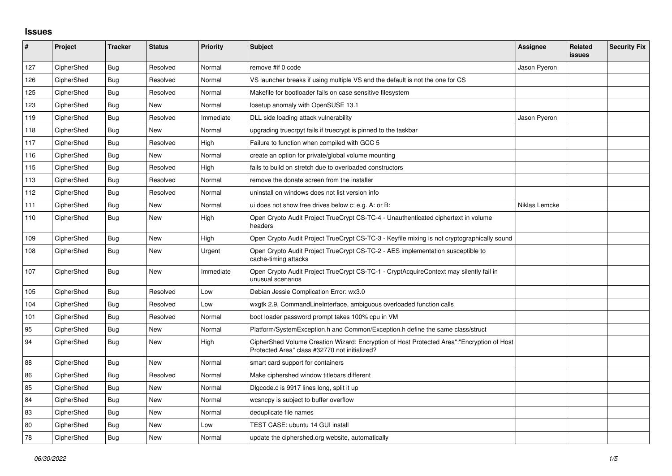## **Issues**

| $\pmb{\#}$ | Project    | <b>Tracker</b> | <b>Status</b> | Priority  | <b>Subject</b>                                                                                                                             | <b>Assignee</b> | Related<br>issues | <b>Security Fix</b> |
|------------|------------|----------------|---------------|-----------|--------------------------------------------------------------------------------------------------------------------------------------------|-----------------|-------------------|---------------------|
| 127        | CipherShed | <b>Bug</b>     | Resolved      | Normal    | remove #if 0 code                                                                                                                          | Jason Pyeron    |                   |                     |
| 126        | CipherShed | <b>Bug</b>     | Resolved      | Normal    | VS launcher breaks if using multiple VS and the default is not the one for CS                                                              |                 |                   |                     |
| 125        | CipherShed | Bug            | Resolved      | Normal    | Makefile for bootloader fails on case sensitive filesystem                                                                                 |                 |                   |                     |
| 123        | CipherShed | Bug            | New           | Normal    | losetup anomaly with OpenSUSE 13.1                                                                                                         |                 |                   |                     |
| 119        | CipherShed | <b>Bug</b>     | Resolved      | Immediate | DLL side loading attack vulnerability                                                                                                      | Jason Pyeron    |                   |                     |
| 118        | CipherShed | Bug            | <b>New</b>    | Normal    | upgrading truecrpyt fails if truecrypt is pinned to the taskbar                                                                            |                 |                   |                     |
| 117        | CipherShed | Bug            | Resolved      | High      | Failure to function when compiled with GCC 5                                                                                               |                 |                   |                     |
| 116        | CipherShed | <b>Bug</b>     | New           | Normal    | create an option for private/global volume mounting                                                                                        |                 |                   |                     |
| 115        | CipherShed | <b>Bug</b>     | Resolved      | High      | fails to build on stretch due to overloaded constructors                                                                                   |                 |                   |                     |
| 113        | CipherShed | Bug            | Resolved      | Normal    | remove the donate screen from the installer                                                                                                |                 |                   |                     |
| 112        | CipherShed | Bug            | Resolved      | Normal    | uninstall on windows does not list version info                                                                                            |                 |                   |                     |
| 111        | CipherShed | Bug            | New           | Normal    | ui does not show free drives below c: e.g. A: or B:                                                                                        | Niklas Lemcke   |                   |                     |
| 110        | CipherShed | <b>Bug</b>     | New           | High      | Open Crypto Audit Project TrueCrypt CS-TC-4 - Unauthenticated ciphertext in volume<br>headers                                              |                 |                   |                     |
| 109        | CipherShed | <b>Bug</b>     | <b>New</b>    | High      | Open Crypto Audit Project TrueCrypt CS-TC-3 - Keyfile mixing is not cryptographically sound                                                |                 |                   |                     |
| 108        | CipherShed | Bug            | New           | Urgent    | Open Crypto Audit Project TrueCrypt CS-TC-2 - AES implementation susceptible to<br>cache-timing attacks                                    |                 |                   |                     |
| 107        | CipherShed | Bug            | New           | Immediate | Open Crypto Audit Project TrueCrypt CS-TC-1 - CryptAcquireContext may silently fail in<br>unusual scenarios                                |                 |                   |                     |
| 105        | CipherShed | Bug            | Resolved      | Low       | Debian Jessie Complication Error: wx3.0                                                                                                    |                 |                   |                     |
| 104        | CipherShed | Bug            | Resolved      | Low       | wxgtk 2.9, CommandLineInterface, ambiguous overloaded function calls                                                                       |                 |                   |                     |
| 101        | CipherShed | <b>Bug</b>     | Resolved      | Normal    | boot loader password prompt takes 100% cpu in VM                                                                                           |                 |                   |                     |
| 95         | CipherShed | Bug            | New           | Normal    | Platform/SystemException.h and Common/Exception.h define the same class/struct                                                             |                 |                   |                     |
| 94         | CipherShed | Bug            | New           | High      | CipherShed Volume Creation Wizard: Encryption of Host Protected Area":"Encryption of Host<br>Protected Area" class #32770 not initialized? |                 |                   |                     |
| 88         | CipherShed | Bug            | New           | Normal    | smart card support for containers                                                                                                          |                 |                   |                     |
| 86         | CipherShed | Bug            | Resolved      | Normal    | Make ciphershed window titlebars different                                                                                                 |                 |                   |                     |
| 85         | CipherShed | <b>Bug</b>     | <b>New</b>    | Normal    | Digcode.c is 9917 lines long, split it up                                                                                                  |                 |                   |                     |
| 84         | CipherShed | <b>Bug</b>     | New           | Normal    | wcsncpy is subject to buffer overflow                                                                                                      |                 |                   |                     |
| 83         | CipherShed | <b>Bug</b>     | New           | Normal    | deduplicate file names                                                                                                                     |                 |                   |                     |
| 80         | CipherShed | <b>Bug</b>     | New           | Low       | TEST CASE: ubuntu 14 GUI install                                                                                                           |                 |                   |                     |
| 78         | CipherShed | <b>Bug</b>     | <b>New</b>    | Normal    | update the ciphershed org website, automatically                                                                                           |                 |                   |                     |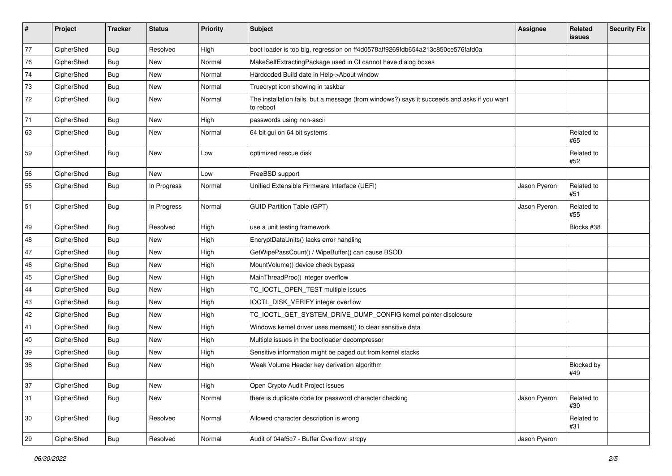| #  | Project    | <b>Tracker</b> | <b>Status</b> | <b>Priority</b> | Subject                                                                                                  | <b>Assignee</b> | Related<br><b>issues</b> | <b>Security Fix</b> |
|----|------------|----------------|---------------|-----------------|----------------------------------------------------------------------------------------------------------|-----------------|--------------------------|---------------------|
| 77 | CipherShed | <b>Bug</b>     | Resolved      | High            | boot loader is too big, regression on ff4d0578aff9269fdb654a213c850ce576fafd0a                           |                 |                          |                     |
| 76 | CipherShed | <b>Bug</b>     | New           | Normal          | MakeSelfExtractingPackage used in CI cannot have dialog boxes                                            |                 |                          |                     |
| 74 | CipherShed | <b>Bug</b>     | New           | Normal          | Hardcoded Build date in Help->About window                                                               |                 |                          |                     |
| 73 | CipherShed | <b>Bug</b>     | <b>New</b>    | Normal          | Truecrypt icon showing in taskbar                                                                        |                 |                          |                     |
| 72 | CipherShed | Bug            | New           | Normal          | The installation fails, but a message (from windows?) says it succeeds and asks if you want<br>to reboot |                 |                          |                     |
| 71 | CipherShed | Bug            | New           | High            | passwords using non-ascii                                                                                |                 |                          |                     |
| 63 | CipherShed | <b>Bug</b>     | <b>New</b>    | Normal          | 64 bit gui on 64 bit systems                                                                             |                 | Related to<br>#65        |                     |
| 59 | CipherShed | <b>Bug</b>     | New           | Low             | optimized rescue disk                                                                                    |                 | Related to<br>#52        |                     |
| 56 | CipherShed | <b>Bug</b>     | <b>New</b>    | Low             | FreeBSD support                                                                                          |                 |                          |                     |
| 55 | CipherShed | <b>Bug</b>     | In Progress   | Normal          | Unified Extensible Firmware Interface (UEFI)                                                             | Jason Pyeron    | Related to<br>#51        |                     |
| 51 | CipherShed | <b>Bug</b>     | In Progress   | Normal          | <b>GUID Partition Table (GPT)</b>                                                                        | Jason Pyeron    | Related to<br>#55        |                     |
| 49 | CipherShed | <b>Bug</b>     | Resolved      | High            | use a unit testing framework                                                                             |                 | Blocks #38               |                     |
| 48 | CipherShed | <b>Bug</b>     | New           | High            | EncryptDataUnits() lacks error handling                                                                  |                 |                          |                     |
| 47 | CipherShed | Bug            | <b>New</b>    | High            | GetWipePassCount() / WipeBuffer() can cause BSOD                                                         |                 |                          |                     |
| 46 | CipherShed | <b>Bug</b>     | <b>New</b>    | High            | MountVolume() device check bypass                                                                        |                 |                          |                     |
| 45 | CipherShed | Bug            | New           | High            | MainThreadProc() integer overflow                                                                        |                 |                          |                     |
| 44 | CipherShed | <b>Bug</b>     | <b>New</b>    | High            | TC_IOCTL_OPEN_TEST multiple issues                                                                       |                 |                          |                     |
| 43 | CipherShed | Bug            | New           | High            | IOCTL_DISK_VERIFY integer overflow                                                                       |                 |                          |                     |
| 42 | CipherShed | <b>Bug</b>     | <b>New</b>    | High            | TC_IOCTL_GET_SYSTEM_DRIVE_DUMP_CONFIG kernel pointer disclosure                                          |                 |                          |                     |
| 41 | CipherShed | <b>Bug</b>     | <b>New</b>    | High            | Windows kernel driver uses memset() to clear sensitive data                                              |                 |                          |                     |
| 40 | CipherShed | <b>Bug</b>     | New           | High            | Multiple issues in the bootloader decompressor                                                           |                 |                          |                     |
| 39 | CipherShed | <b>Bug</b>     | New           | High            | Sensitive information might be paged out from kernel stacks                                              |                 |                          |                     |
| 38 | CipherShed | Bug            | New           | High            | Weak Volume Header key derivation algorithm                                                              |                 | Blocked by<br>#49        |                     |
| 37 | CipherShed | Bug            | New           | High            | Open Crypto Audit Project issues                                                                         |                 |                          |                     |
| 31 | CipherShed | <b>Bug</b>     | New           | Normal          | there is duplicate code for password character checking                                                  | Jason Pyeron    | Related to<br>#30        |                     |
| 30 | CipherShed | <b>Bug</b>     | Resolved      | Normal          | Allowed character description is wrong                                                                   |                 | Related to<br>#31        |                     |
| 29 | CipherShed | Bug            | Resolved      | Normal          | Audit of 04af5c7 - Buffer Overflow: strcpy                                                               | Jason Pyeron    |                          |                     |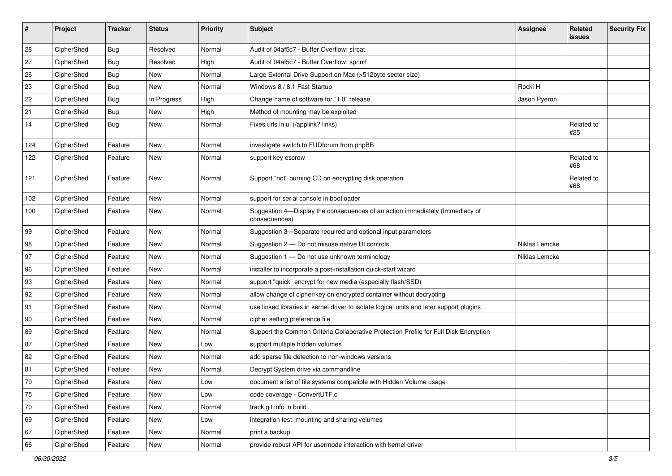| #   | Project    | <b>Tracker</b> | <b>Status</b> | Priority | <b>Subject</b>                                                                                | <b>Assignee</b> | Related<br>issues | <b>Security Fix</b> |
|-----|------------|----------------|---------------|----------|-----------------------------------------------------------------------------------------------|-----------------|-------------------|---------------------|
| 28  | CipherShed | <b>Bug</b>     | Resolved      | Normal   | Audit of 04af5c7 - Buffer Overflow: strcat                                                    |                 |                   |                     |
| 27  | CipherShed | <b>Bug</b>     | Resolved      | High     | Audit of 04af5c7 - Buffer Overflow: sprintf                                                   |                 |                   |                     |
| 26  | CipherShed | Bug            | New           | Normal   | Large External Drive Support on Mac (>512byte sector size)                                    |                 |                   |                     |
| 23  | CipherShed | <b>Bug</b>     | <b>New</b>    | Normal   | Windows 8 / 8.1 Fast Startup                                                                  | Rocki H         |                   |                     |
| 22  | CipherShed | Bug            | In Progress   | High     | Change name of software for "1.0" release.                                                    | Jason Pyeron    |                   |                     |
| 21  | CipherShed | <b>Bug</b>     | New           | High     | Method of mounting may be exploited                                                           |                 |                   |                     |
| 14  | CipherShed | Bug            | New           | Normal   | Fixes urls in ui (/applink? links)                                                            |                 | Related to<br>#25 |                     |
| 124 | CipherShed | Feature        | New           | Normal   | investigate switch to FUDforum from phpBB                                                     |                 |                   |                     |
| 122 | CipherShed | Feature        | New           | Normal   | support key escrow                                                                            |                 | Related to<br>#68 |                     |
| 121 | CipherShed | Feature        | <b>New</b>    | Normal   | Support "not" burning CD on encrypting disk operation                                         |                 | Related to<br>#68 |                     |
| 102 | CipherShed | Feature        | New           | Normal   | support for serial console in bootloader                                                      |                 |                   |                     |
| 100 | CipherShed | Feature        | New           | Normal   | Suggestion 4-Display the consequences of an action immediately (Immediacy of<br>consequences) |                 |                   |                     |
| 99  | CipherShed | Feature        | New           | Normal   | Suggestion 3-Separate required and optional input parameters                                  |                 |                   |                     |
| 98  | CipherShed | Feature        | New           | Normal   | Suggestion 2 - Do not misuse native UI controls                                               | Niklas Lemcke   |                   |                     |
| 97  | CipherShed | Feature        | New           | Normal   | Suggestion 1 - Do not use unknown terminology                                                 | Niklas Lemcke   |                   |                     |
| 96  | CipherShed | Feature        | New           | Normal   | installer to incorporate a post-installation quick-start wizard                               |                 |                   |                     |
| 93  | CipherShed | Feature        | New           | Normal   | support "quick" encrypt for new media (especially flash/SSD)                                  |                 |                   |                     |
| 92  | CipherShed | Feature        | New           | Normal   | allow change of cipher/key on encrypted container without decrypting                          |                 |                   |                     |
| 91  | CipherShed | Feature        | New           | Normal   | use linked libraries in kernel driver to isolate logical units and later support plugins      |                 |                   |                     |
| 90  | CipherShed | Feature        | New           | Normal   | cipher setting preference file                                                                |                 |                   |                     |
| 89  | CipherShed | Feature        | <b>New</b>    | Normal   | Support the Common Criteria Collaborative Protection Profile for Full Disk Encryption         |                 |                   |                     |
| 87  | CipherShed | Feature        | New           | Low      | support multiple hidden volumes                                                               |                 |                   |                     |
| 82  | CipherShed | Feature        | New           | Normal   | add sparse file detection to non-windows versions                                             |                 |                   |                     |
| 81  | CipherShed | Feature        | New           | Normal   | Decrypt System drive via commandline                                                          |                 |                   |                     |
| 79  | CipherShed | Feature        | New           | Low      | document a list of file systems compatible with Hidden Volume usage                           |                 |                   |                     |
| 75  | CipherShed | Feature        | New           | Low      | code coverage - ConvertUTF.c                                                                  |                 |                   |                     |
| 70  | CipherShed | Feature        | New           | Normal   | track git info in build                                                                       |                 |                   |                     |
| 69  | CipherShed | Feature        | New           | Low      | integration test: mounting and sharing volumes                                                |                 |                   |                     |
| 67  | CipherShed | Feature        | New           | Normal   | print a backup                                                                                |                 |                   |                     |
| 66  | CipherShed | Feature        | New           | Normal   | provide robust API for usermode interaction with kernel driver                                |                 |                   |                     |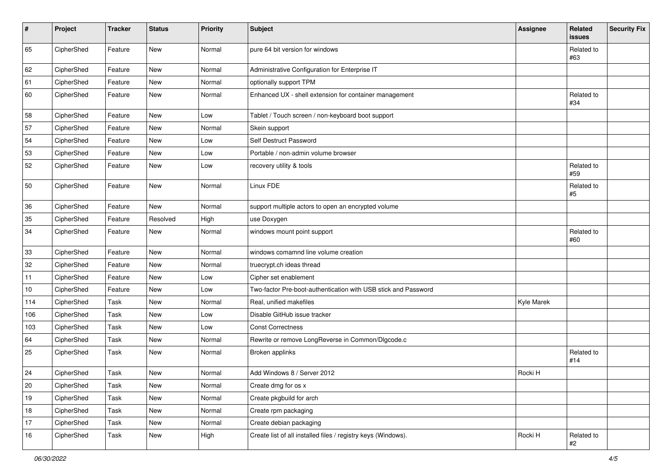| $\sharp$ | Project    | <b>Tracker</b> | <b>Status</b> | Priority | <b>Subject</b>                                                 | <b>Assignee</b>   | Related<br>issues   | <b>Security Fix</b> |
|----------|------------|----------------|---------------|----------|----------------------------------------------------------------|-------------------|---------------------|---------------------|
| 65       | CipherShed | Feature        | New           | Normal   | pure 64 bit version for windows                                |                   | Related to<br>#63   |                     |
| 62       | CipherShed | Feature        | New           | Normal   | Administrative Configuration for Enterprise IT                 |                   |                     |                     |
| 61       | CipherShed | Feature        | New           | Normal   | optionally support TPM                                         |                   |                     |                     |
| 60       | CipherShed | Feature        | New           | Normal   | Enhanced UX - shell extension for container management         |                   | Related to<br>#34   |                     |
| 58       | CipherShed | Feature        | New           | Low      | Tablet / Touch screen / non-keyboard boot support              |                   |                     |                     |
| 57       | CipherShed | Feature        | <b>New</b>    | Normal   | Skein support                                                  |                   |                     |                     |
| 54       | CipherShed | Feature        | New           | Low      | Self Destruct Password                                         |                   |                     |                     |
| 53       | CipherShed | Feature        | New           | Low      | Portable / non-admin volume browser                            |                   |                     |                     |
| 52       | CipherShed | Feature        | New           | Low      | recovery utility & tools                                       |                   | Related to<br>#59   |                     |
| 50       | CipherShed | Feature        | New           | Normal   | Linux FDE                                                      |                   | Related to<br>$\#5$ |                     |
| 36       | CipherShed | Feature        | <b>New</b>    | Normal   | support multiple actors to open an encrypted volume            |                   |                     |                     |
| 35       | CipherShed | Feature        | Resolved      | High     | use Doxygen                                                    |                   |                     |                     |
| 34       | CipherShed | Feature        | New           | Normal   | windows mount point support                                    |                   | Related to<br>#60   |                     |
| 33       | CipherShed | Feature        | New           | Normal   | windows comamnd line volume creation                           |                   |                     |                     |
| 32       | CipherShed | Feature        | New           | Normal   | truecrypt.ch ideas thread                                      |                   |                     |                     |
| 11       | CipherShed | Feature        | New           | Low      | Cipher set enablement                                          |                   |                     |                     |
| 10       | CipherShed | Feature        | New           | Low      | Two-factor Pre-boot-authentication with USB stick and Password |                   |                     |                     |
| 114      | CipherShed | Task           | New           | Normal   | Real, unified makefiles                                        | <b>Kyle Marek</b> |                     |                     |
| 106      | CipherShed | Task           | New           | Low      | Disable GitHub issue tracker                                   |                   |                     |                     |
| 103      | CipherShed | Task           | New           | Low      | <b>Const Correctness</b>                                       |                   |                     |                     |
| 64       | CipherShed | Task           | New           | Normal   | Rewrite or remove LongReverse in Common/Dlgcode.c              |                   |                     |                     |
| 25       | CipherShed | Task           | New           | Normal   | Broken applinks                                                |                   | Related to<br>#14   |                     |
| 24       | CipherShed | Task           | <b>New</b>    | Normal   | Add Windows 8 / Server 2012                                    | Rocki H           |                     |                     |
| 20       | CipherShed | Task           | New           | Normal   | Create dmg for os x                                            |                   |                     |                     |
| $19$     | CipherShed | Task           | New           | Normal   | Create pkgbuild for arch                                       |                   |                     |                     |
| $18\,$   | CipherShed | Task           | New           | Normal   | Create rpm packaging                                           |                   |                     |                     |
| 17       | CipherShed | Task           | New           | Normal   | Create debian packaging                                        |                   |                     |                     |
| 16       | CipherShed | Task           | New           | High     | Create list of all installed files / registry keys (Windows).  | Rocki H           | Related to<br>#2    |                     |